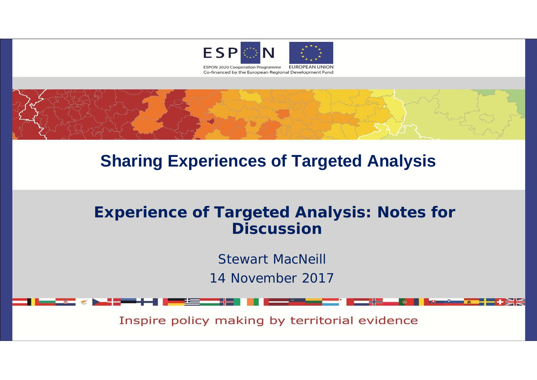



# **Sharing Experiences of Targeted Analysis**

## **Experience of Targeted Analysis: Notes for Discussion**

Stewart MacNeill 14 November 2017

Inspire policy making by territorial evidence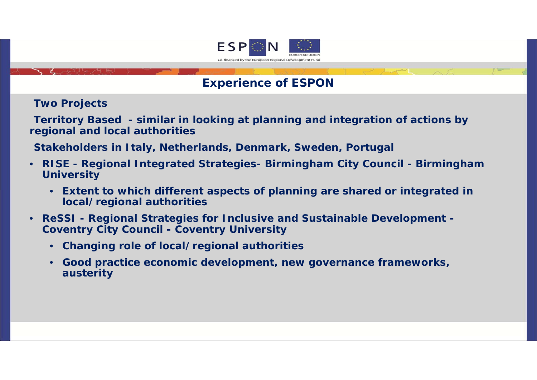

#### **Experience of ESPON**

**Two Projects**

**Territory Based - similar in looking at planning and integration of actions by regional and local authorities**

**Stakeholders in Italy, Netherlands, Denmark, Sweden, Portugal**

- • **RISE - Regional Integrated Strategies- Birmingham City Council - Birmingham University**
	- **Extent to which different aspects of planning are shared or integrated in local/regional authorities**
- • **ReSSI - Regional Strategies for Inclusive and Sustainable Development - Coventry City Council - Coventry University**
	- **Changing role of local/regional authorities**
	- **Good practice economic development, new governance frameworks, austerity**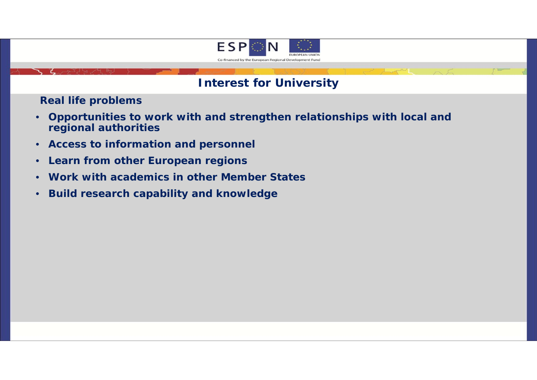

#### **Interest for University**

**Real life problems** 

- • **Opportunities to work with and strengthen relationships with local and regional authorities**
- **Access to information and personnel**
- $\bullet$ **Learn from other European regions**
- **Work with academics in other Member States**
- •**Build research capability and knowledge**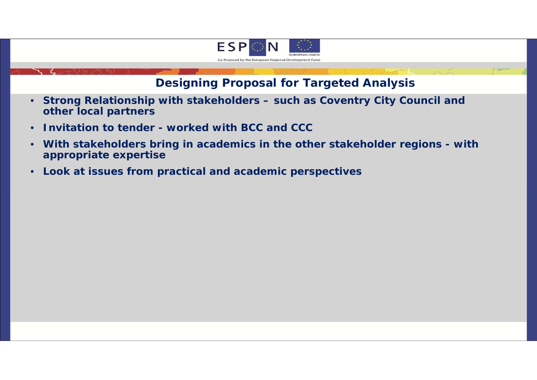

### **Designing Proposal for Targeted Analysis**

- **Strong Relationship with stakeholders – such as Coventry City Council and other local partners**
- •**Invitation to tender - worked with BCC and CCC**
- • **With stakeholders bring in academics in the other stakeholder regions - with appropriate expertise**
- •**Look at issues from practical and academic perspectives**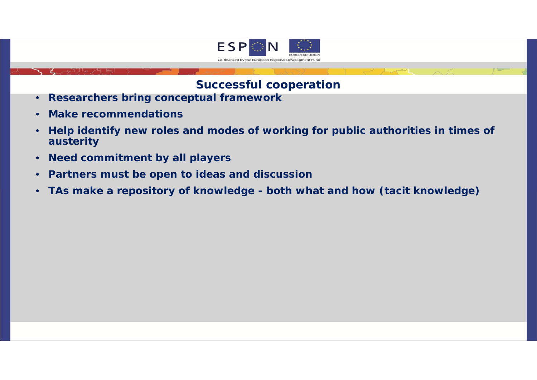

#### **Successful cooperation**

- **Researchers bring conceptual framework**
- **Make recommendations**
- • **Help identify new roles and modes of working for public authorities in times of austerity**
- **Need commitment by all players**
- **Partners must be open to ideas and discussion**
- **TAs make a repository of knowledge - both what and how (tacit knowledge)**